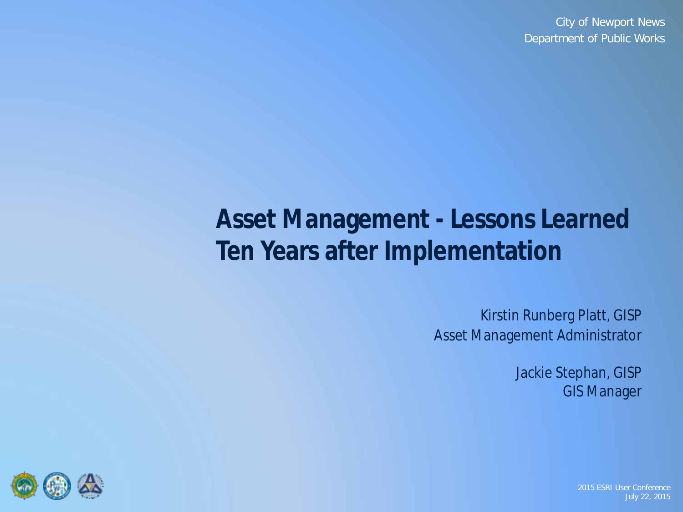# **Asset Management - Lessons Learned Ten Years after Implementation**

Kirstin Runberg Platt, GISP Asset Management Administrator

> Jackie Stephan, GISP GIS Manager

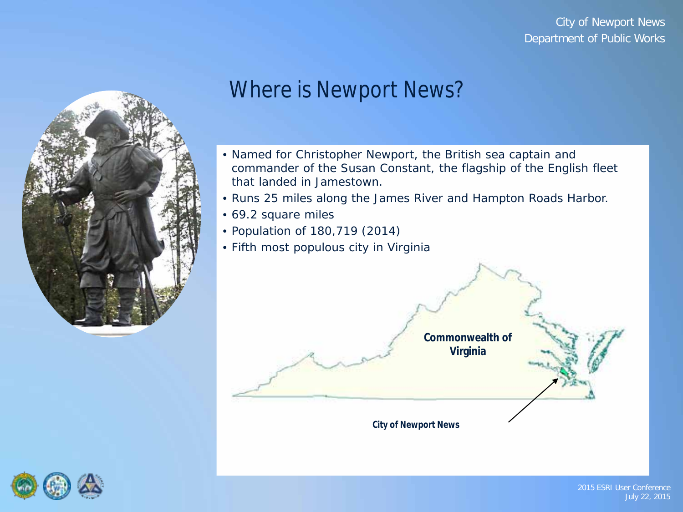

### Where is Newport News?

- Named for Christopher Newport, the British sea captain and commander of the Susan Constant, the flagship of the English fleet that landed in Jamestown.
- Runs 25 miles along the James River and Hampton Roads Harbor.
- 69.2 square miles
- Population of 180,719 (2014)
- Fifth most populous city in Virginia



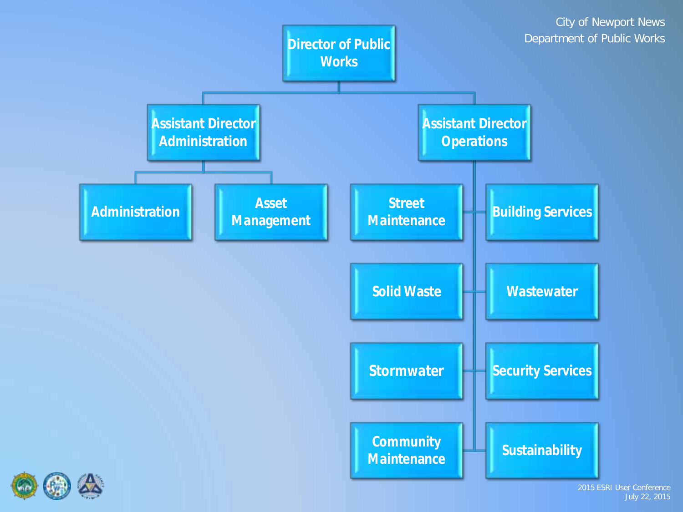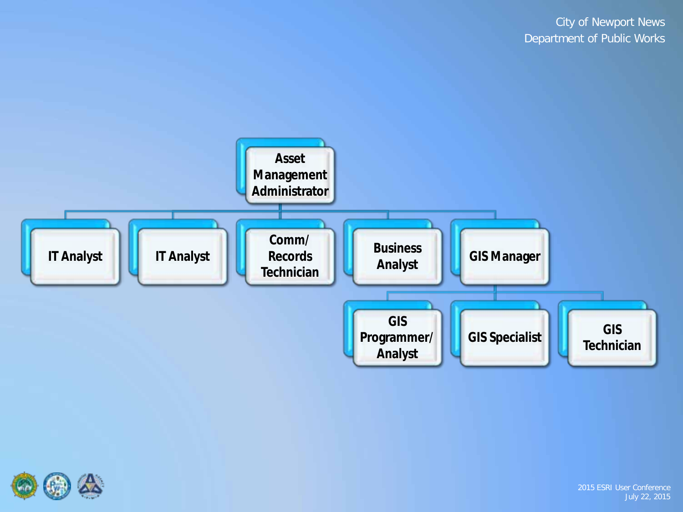

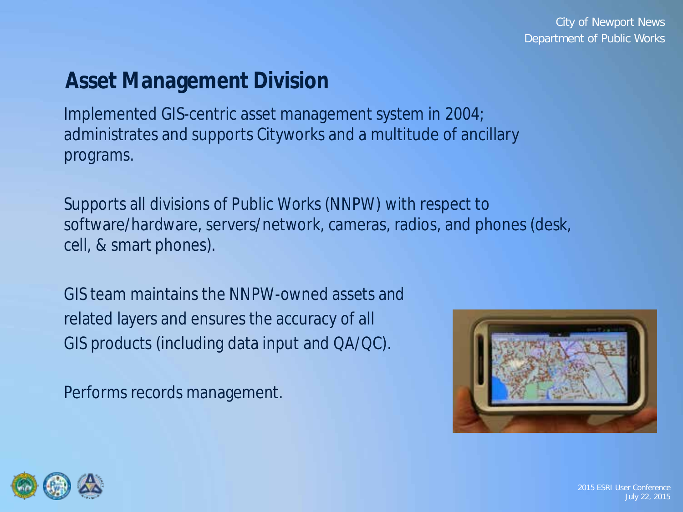# **Asset Management Division**

Implemented GIS-centric asset management system in 2004; administrates and supports Cityworks and a multitude of ancillary programs.

Supports all divisions of Public Works (NNPW) with respect to software/hardware, servers/network, cameras, radios, and phones (desk, cell, & smart phones).

GIS team maintains the NNPW-owned assets and related layers and ensures the accuracy of all GIS products (including data input and QA/QC).

Performs records management.



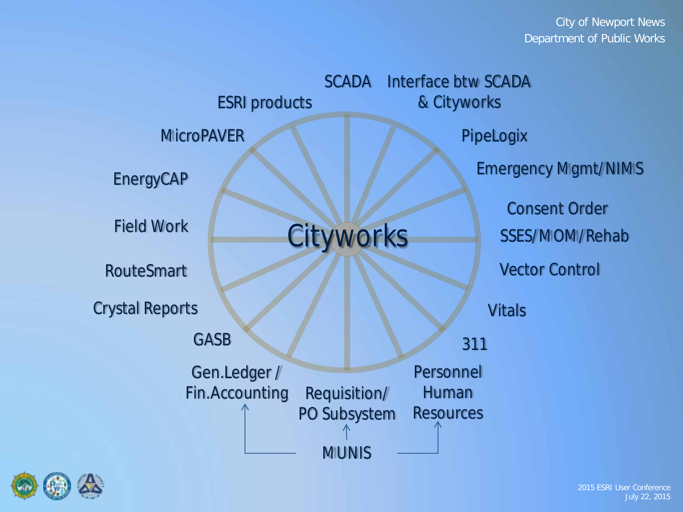| <b>SCADA</b> Interface btw SCADA |                                                     |  |  |  |  |
|----------------------------------|-----------------------------------------------------|--|--|--|--|
| <b>ESRI</b> products             | & Cityworks                                         |  |  |  |  |
| <b>MicroPAVER</b>                | PipeLogix                                           |  |  |  |  |
| EnergyCAP                        | <b>Emergency Mgmt/NIMS</b>                          |  |  |  |  |
| <b>Field Work</b>                | <b>Consent Order</b><br>Cityworks<br>SSES/MOM/Rehab |  |  |  |  |
| <b>RouteSmart</b>                | <b>Vector Control</b>                               |  |  |  |  |
| <b>Crystal Reports</b>           | <b>Vitals</b>                                       |  |  |  |  |
| <b>GASB</b>                      | 311                                                 |  |  |  |  |
| Gen.Ledger /                     | Personnel                                           |  |  |  |  |
| Fin.Accounting                   | Requisition/<br><b>Human</b>                        |  |  |  |  |
| PO Subsystem<br><b>Resources</b> |                                                     |  |  |  |  |
|                                  |                                                     |  |  |  |  |
|                                  | <b>MUNIS</b>                                        |  |  |  |  |

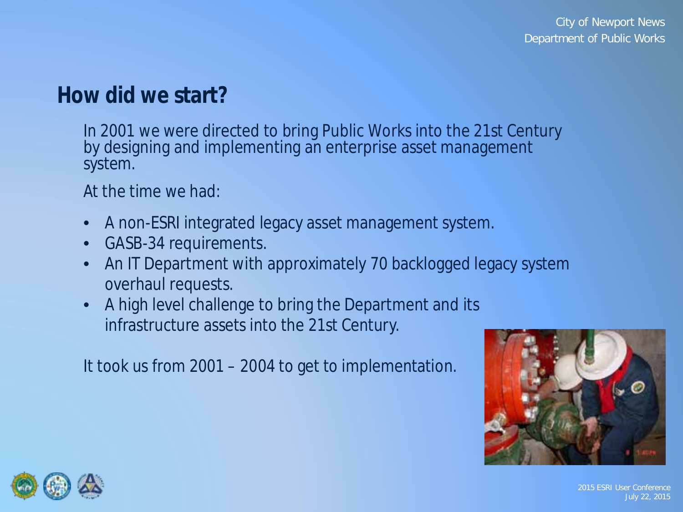### **How did we start?**

In 2001 we were directed to bring Public Works into the 21st Century by designing and implementing an enterprise asset management system.

At the time we had:

- A non-ESRI integrated legacy asset management system.
- GASB-34 requirements.
- An IT Department with approximately 70 backlogged legacy system overhaul requests.
- A high level challenge to bring the Department and its infrastructure assets into the 21st Century.

It took us from 2001 – 2004 to get to implementation.



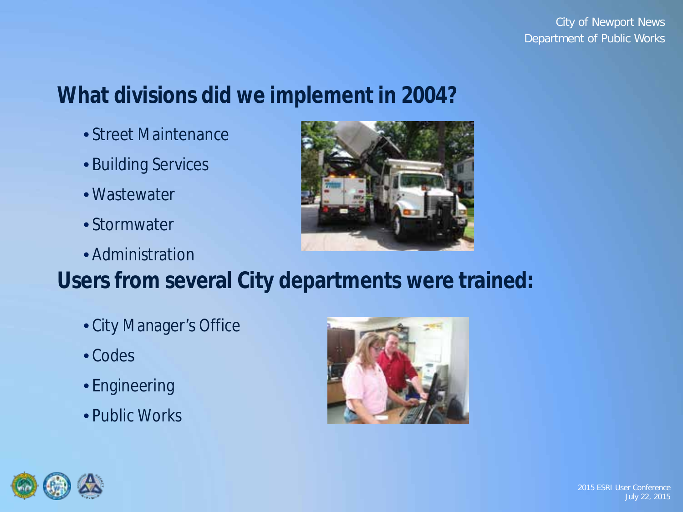# **What divisions did we implement in 2004?**

- Street Maintenance
- Building Services
- Wastewater
- Stormwater
- Administration



- City Manager's Office
- Codes
- Engineering
- Public Works



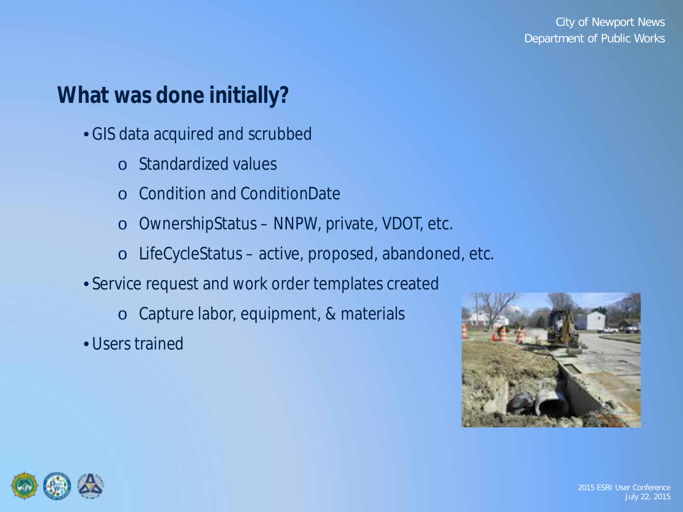# **What was done initially?**

- GIS data acquired and scrubbed
	- o Standardized values
	- o Condition and ConditionDate
	- o OwnershipStatus NNPW, private, VDOT, etc.
	- o LifeCycleStatus active, proposed, abandoned, etc.
- Service request and work order templates created
	- o Capture labor, equipment, & materials
- Users trained



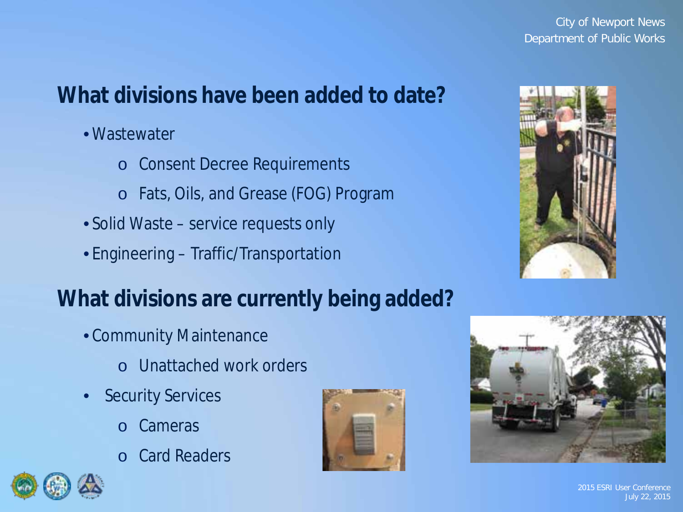# **What divisions have been added to date?**

- Wastewater
	- o Consent Decree Requirements
	- o Fats, Oils, and Grease (FOG) Program
- Solid Waste service requests only
- Engineering Traffic/Transportation

### **What divisions are currently being added?**

- Community Maintenance
	- o Unattached work orders
- **Security Services** 
	- o Cameras
	- o Card Readers





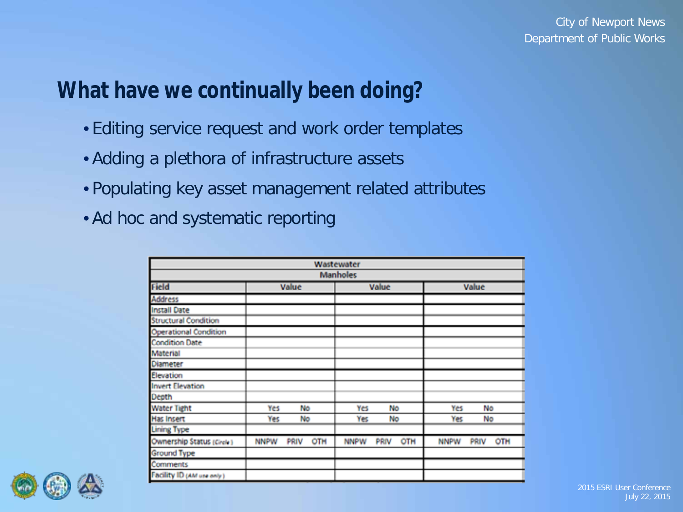### **What have we continually been doing?**

- Editing service request and work order templates
- Adding a plethora of infrastructure assets
- Populating key asset management related attributes
- Ad hoc and systematic reporting

| Wastewater<br><b>Manholes</b> |                            |                            |                            |  |  |  |  |
|-------------------------------|----------------------------|----------------------------|----------------------------|--|--|--|--|
| <b>Field</b>                  | Value                      | Value                      | Value                      |  |  |  |  |
| <b>Address</b>                |                            |                            |                            |  |  |  |  |
| <b>Install Date</b>           |                            |                            |                            |  |  |  |  |
| <b>Structural Condition</b>   |                            |                            |                            |  |  |  |  |
| <b>Operational Condition</b>  |                            |                            |                            |  |  |  |  |
| <b>Condition Date</b>         |                            |                            |                            |  |  |  |  |
| Material                      |                            |                            |                            |  |  |  |  |
| Diameter                      |                            |                            |                            |  |  |  |  |
| Elevation                     |                            |                            |                            |  |  |  |  |
| <b>Invert Elevation</b>       |                            |                            |                            |  |  |  |  |
| Depth                         |                            |                            |                            |  |  |  |  |
| <b>Water Tight</b>            | Yes<br>No                  | Yes<br>No                  | Yes<br>No                  |  |  |  |  |
| Has Insert                    | Yes<br>No                  | No<br>Yes                  | Yes<br>No                  |  |  |  |  |
| <b>Lining Type</b>            |                            |                            |                            |  |  |  |  |
| Ownership Status (Circle)     | <b>NNPW</b><br>PRIV<br>OTH | OTH<br><b>NNPW</b><br>PRIV | <b>NNPW</b><br>PRIV<br>OTH |  |  |  |  |
| <b>Ground Type</b>            |                            |                            |                            |  |  |  |  |
| Comments                      |                            |                            |                            |  |  |  |  |
| Facility ID (AM use only)     |                            |                            |                            |  |  |  |  |

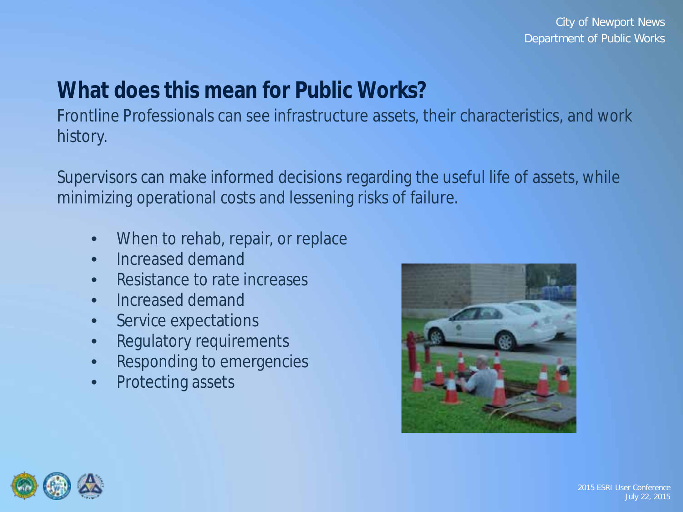# **What does this mean for Public Works?**

Frontline Professionals can see infrastructure assets, their characteristics, and work history.

Supervisors can make informed decisions regarding the useful life of assets, while minimizing operational costs and lessening risks of failure.

- When to rehab, repair, or replace
- Increased demand
- Resistance to rate increases
- Increased demand
- Service expectations
- Regulatory requirements
- Responding to emergencies
- Protecting assets



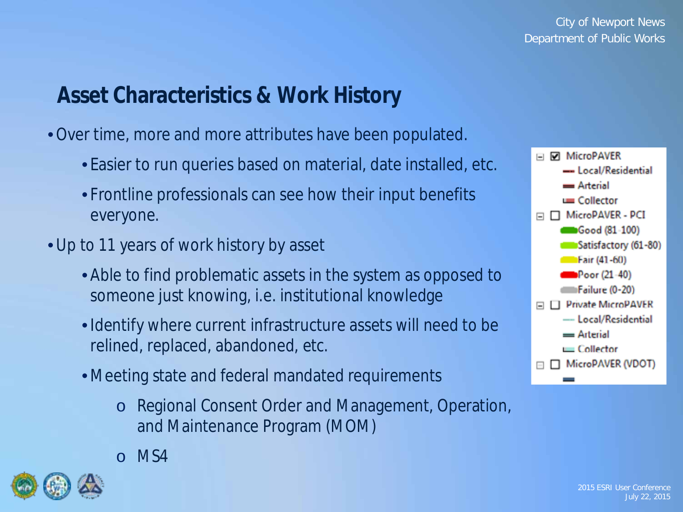# **Asset Characteristics & Work History**

- •Over time, more and more attributes have been populated.
	- Easier to run queries based on material, date installed, etc.
	- Frontline professionals can see how their input benefits everyone.
- Up to 11 years of work history by asset
	- Able to find problematic assets in the system as opposed to someone just knowing, i.e. institutional knowledge
	- Identify where current infrastructure assets will need to be relined, replaced, abandoned, etc.
	- Meeting state and federal mandated requirements
		- o Regional Consent Order and Management, Operation, and Maintenance Program (MOM)
		- o MS4



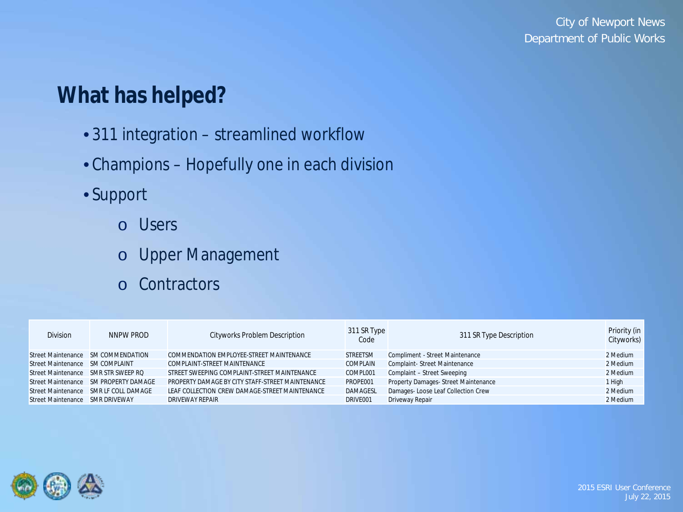# **What has helped?**

- 311 integration streamlined workflow
- Champions Hopefully one in each division
- Support
	- o Users
	- o Upper Management
	- o Contractors

| <b>Division</b>                     | NNPW PROD                             | <b>Cityworks Problem Description</b>             | 311 SR Type<br>Code | 311 SR Type Description             | Priority (in<br>Cityworks) |
|-------------------------------------|---------------------------------------|--------------------------------------------------|---------------------|-------------------------------------|----------------------------|
|                                     | Street Maintenance SM COMMENDATION    | COMMENDATION EMPLOYEE-STREET MAINTENANCE         | <b>STREETSM</b>     | Compliment - Street Maintenance     | 2 Medium                   |
| Street Maintenance SM COMPLAINT     |                                       | COMPLAINT-STREET MAINTENANCE                     | COMPLAIN            | Complaint-Street Maintenance        | 2 Medium                   |
| Street Maintenance SMR STR SWEEP RQ |                                       | STREET SWEEPING COMPLAINT-STREET MAINTENANCE     | COMPL001            | Complaint - Street Sweeping         | 2 Medium                   |
|                                     | Street Maintenance SM PROPERTY DAMAGE | PROPERTY DAMAGE BY CITY STAFF-STREET MAINTENANCE | PROPE001            | Property Damages-Street Maintenance | 1 High                     |
|                                     | Street Maintenance SMR LF COLL DAMAGE | LEAF COLLECTION CREW DAMAGE-STREET MAINTENANCE   | <b>DAMAGESL</b>     | Damages-Loose Leaf Collection Crew  | 2 Medium                   |
| Street Maintenance SMR DRIVEWAY     |                                       | DRIVEWAY REPAIR                                  | DRIVE001            | Driveway Repair                     | 2 Medium                   |

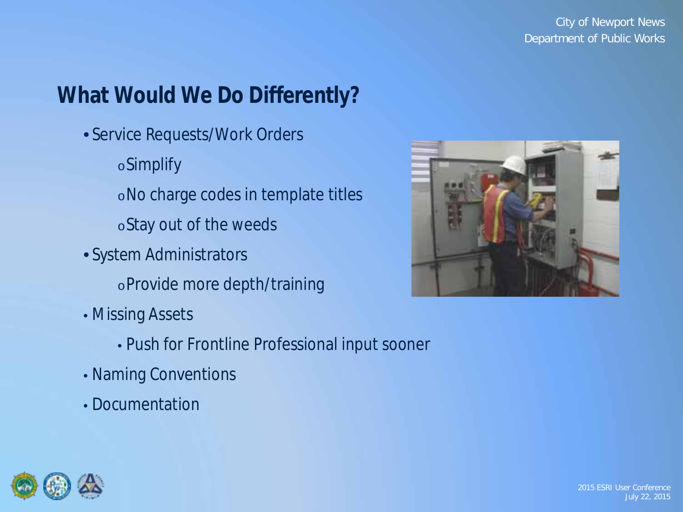# **What Would We Do Differently?**

• Service Requests/Work Orders

oSimplify

oNo charge codes in template titles

oStay out of the weeds

• System Administrators

oProvide more depth/training

• Missing Assets

• Push for Frontline Professional input sooner

- Naming Conventions
- Documentation